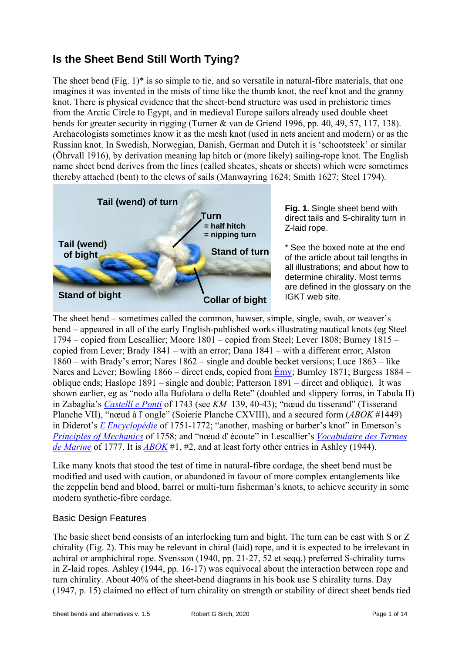# **Is the Sheet Bend Still Worth Tying?**

The sheet bend (Fig. 1) $*$  is so simple to tie, and so versatile in natural-fibre materials, that one imagines it was invented in the mists of time like the thumb knot, the reef knot and the granny knot. There is physical evidence that the sheet-bend structure was used in prehistoric times from the Arctic Circle to Egypt, and in medieval Europe sailors already used double sheet bends for greater security in rigging (Turner & van de Griend 1996, pp. 40, 49, 57, 117, 138). Archaeologists sometimes know it as the mesh knot (used in nets ancient and modern) or as the Russian knot. In Swedish, Norwegian, Danish, German and Dutch it is 'schootsteek' or similar (Öhrvall 1916), by derivation meaning lap hitch or (more likely) sailing-rope knot. The English name sheet bend derives from the lines (called sheates, sheats or sheets) which were sometimes thereby attached (bent) to the clews of sails (Manwayring 1624; Smith 1627; Steel 1794).



**Fig. 1.** Single sheet bend with direct tails and S-chirality turn in Z-laid rope.

\* See the boxed note at the end of the article about tail lengths in all illustrations; and about how to determine chirality. Most terms are defined in the glossary on the IGKT web site.

The sheet bend – sometimes called the common, hawser, simple, single, swab, or weaver's bend – appeared in all of the early English-published works illustrating nautical knots (eg Steel 1794 – copied from Lescallier; Moore 1801 – copied from Steel; Lever 1808; Burney 1815 – copied from Lever; Brady 1841 – with an error; Dana 1841 – with a different error; Alston 1860 – with Brady's error; Nares 1862 – single and double becket versions; Luce 1863 – like Nares and Lever; Bowling 1866 – direct ends, copied from  $\overline{E}$ my; Burnley 1871; Burgess 1884 – oblique ends; Haslope 1891 – single and double; Patterson 1891 – direct and oblique). It was shown earlier, eg as "nodo alla Bufolara o della Rete" (doubled and slippery forms, in Tabula II) in Zabaglia's *Castelli e Ponti* of 1743 (see *KM* 139, 40-43); "nœud du tisserand" (Tisserand Planche VII), "nœud à ľ ongle" (Soierie Planche CXVIII), [and a](https://gallica.bnf.fr/ark:/12148/bpt6k3140210/f3.item.r=151) secured form (*ABOK* #1449) in Diderot's *Ľ Encyclopédie* of 1751-1772; "another, mashing or barber's knot" in Emerson's *Principles of Mechanics* of 1758; and "nœud ď écoute" in Lescallier's *Vocabulaire des Termes de Marine* of [1777. It is](https://doi.org/10.3931/e-rara-11252) *ABOK* #1, #2, and at least forty other entries in Ashley (1944).

Like many k[nots that stood t](http://encyclopédie.eu/)he test of time in natural-fibre cordage, the sheet bend must be [modified and used with c](https://archive.org/details/principlesmechan00emer)aution, or abandoned in favour of more comp[lex entanglements like](https://books.google.com/books?id=jOhWAAAAcAAJ)  [the zeppeli](https://books.google.com/books?id=jOhWAAAAcAAJ)n bend and b[lood, ba](https://archive.org/details/TheAshleyBookOfKnots)rrel or multi-turn fisherman's knots, to achieve security in some modern synthetic-fibre cordage.

## Basic Design Features

The basic sheet bend consists of an interlocking turn and bight. The turn can be cast with S or Z chirality (Fig. 2). This may be relevant in chiral (laid) rope, and it is expected to be irrelevant in achiral or amphichiral rope. Svensson (1940, pp. 21-27, 52 et seqq.) preferred S-chirality turns in Z-laid ropes. Ashley (1944, pp. 16-17) was equivocal about the interaction between rope and turn chirality. About 40% of the sheet-bend diagrams in his book use S chirality turns. Day (1947, p. 15) claimed no effect of turn chirality on strength or stability of direct sheet bends tied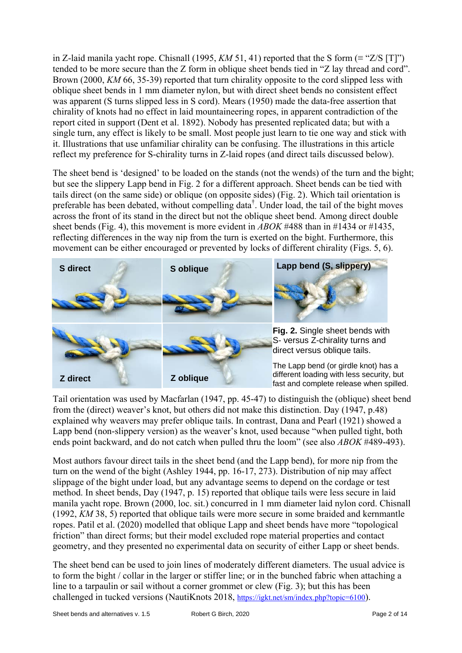in Z-laid manila yacht rope. Chisnall (1995, *KM* 51, 41) reported that the S form ( $\equiv$  "Z/S [T]") tended to be more secure than the Z form in oblique sheet bends tied in "Z lay thread and cord". Brown (2000, *KM* 66, 35-39) reported that turn chirality opposite to the cord slipped less with oblique sheet bends in 1 mm diameter nylon, but with direct sheet bends no consistent effect was apparent (S turns slipped less in S cord). Mears (1950) made the data-free assertion that chirality of knots had no effect in laid mountaineering ropes, in apparent contradiction of the report cited in support (Dent et al. 1892). Nobody has presented replicated data; but with a single turn, any effect is likely to be small. Most people just learn to tie one way and stick with it. Illustrations that use unfamiliar chirality can be confusing. The illustrations in this article reflect my preference for S-chirality turns in Z-laid ropes (and direct tails discussed below).

The sheet bend is 'designed' to be loaded on the stands (not the wends) of the turn and the bight; but see the slippery Lapp bend in Fig. 2 for a different approach. Sheet bends can be tied with tails direct (on the same side) or oblique (on opposite sides) (Fig. 2). Which tail orientation is preferable has been debated, without compelling data<sup>†</sup>. Under load, the tail of the bight moves across the front of its stand in the direct but not the oblique sheet bend. Among direct double sheet bends (Fig. 4), this movement is more evident in *ABOK* #488 than in #1434 or #1435, reflecting differences in the way nip from the turn is exerted on the bight. Furthermore, this movement can be either encouraged or prevented by locks of different chirality (Figs. 5, 6).



Tail orientation was used by Macfarlan (1947, pp. 45-47) to distinguish the (oblique) sheet bend from the (direct) weaver's knot, but others did not make this distinction. Day (1947, p.48) explained why weavers may prefer oblique tails. In contrast, Dana and Pearl (1921) showed a Lapp bend (non-slippery version) as the weaver's knot, used because "when pulled tight, both ends point backward, and do not catch when pulled thru the loom" (see also *ABOK* #489-493).

Most authors favour direct tails in the sheet bend (and the Lapp bend), for more nip from the turn on the wend of the bight (Ashley 1944, pp. 16-17, 273). Distribution of nip may affect slippage of the bight under load, but any advantage seems to depend on the cordage or test method. In sheet bends, Day (1947, p. 15) reported that oblique tails were less secure in laid manila yacht rope. Brown (2000, loc. sit.) concurred in 1 mm diameter laid nylon cord. Chisnall (1992, *KM* 38, 5) reported that oblique tails were more secure in some braided and kernmantle ropes. Patil et al. (2020) modelled that oblique Lapp and sheet bends have more "topological friction" than direct forms; but their model excluded rope material properties and contact geometry, and they presented no experimental data on security of either Lapp or sheet bends.

The sheet bend can be used to join lines of moderately different diameters. The usual advice is to form the bight / collar in the larger or stiffer line; or in the bunched fabric when attaching a line to a tarpaulin or sail without a corner grommet or clew (Fig. 3); but this has been challenged in tucked versions (NautiKnots 2018, https://igkt.net/sm/index.php?topic=6100).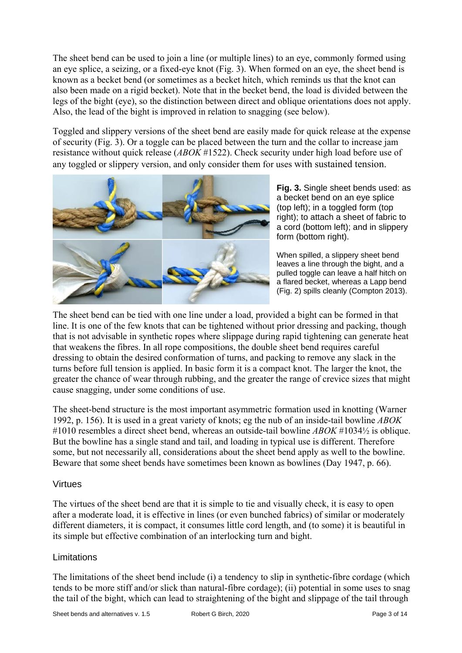The sheet bend can be used to join a line (or multiple lines) to an eye, commonly formed using an eye splice, a seizing, or a fixed-eye knot (Fig. 3). When formed on an eye, the sheet bend is known as a becket bend (or sometimes as a becket hitch, which reminds us that the knot can also been made on a rigid becket). Note that in the becket bend, the load is divided between the legs of the bight (eye), so the distinction between direct and oblique orientations does not apply. Also, the lead of the bight is improved in relation to snagging (see below).

Toggled and slippery versions of the sheet bend are easily made for quick release at the expense of security (Fig. 3). Or a toggle can be placed between the turn and the collar to increase jam resistance without quick release (*ABOK* #1522). Check security under high load before use of any toggled or slippery version, and only consider them for uses with sustained tension.



**Fig. 3.** Single sheet bends used: as a becket bend on an eye splice (top left); in a toggled form (top right); to attach a sheet of fabric to a cord (bottom left); and in slippery form (bottom right).

When spilled, a slippery sheet bend leaves a line through the bight, and a pulled toggle can leave a half hitch on a flared becket, whereas a Lapp bend (Fig. 2) spills cleanly (Compton 2013).

The sheet bend can be tied with one line under a load, provided a bight can be formed in that line. It is one of the few knots that can be tightened without prior dressing and packing, though that is not advisable in synthetic ropes where slippage during rapid tightening can generate heat that weakens the fibres. In all rope compositions, the double sheet bend requires careful dressing to obtain the desired conformation of turns, and packing to remove any slack in the turns before full tension is applied. In basic form it is a compact knot. The larger the knot, the greater the chance of wear through rubbing, and the greater the range of crevice sizes that might cause snagging, under some conditions of use.

The sheet-bend structure is the most important asymmetric formation used in knotting (Warner 1992, p. 156). It is used in a great variety of knots; eg the nub of an inside-tail bowline *ABOK* #1010 resembles a direct sheet bend, whereas an outside-tail bowline *ABOK* #1034½ is oblique. But the bowline has a single stand and tail, and loading in typical use is different. Therefore some, but not necessarily all, considerations about the sheet bend apply as well to the bowline. Beware that some sheet bends have sometimes been known as bowlines (Day 1947, p. 66).

## Virtues

The virtues of the sheet bend are that it is simple to tie and visually check, it is easy to open after a moderate load, it is effective in lines (or even bunched fabrics) of similar or moderately different diameters, it is compact, it consumes little cord length, and (to some) it is beautiful in its simple but effective combination of an interlocking turn and bight.

## Limitations

The limitations of the sheet bend include (i) a tendency to slip in synthetic-fibre cordage (which tends to be more stiff and/or slick than natural-fibre cordage); (ii) potential in some uses to snag the tail of the bight, which can lead to straightening of the bight and slippage of the tail through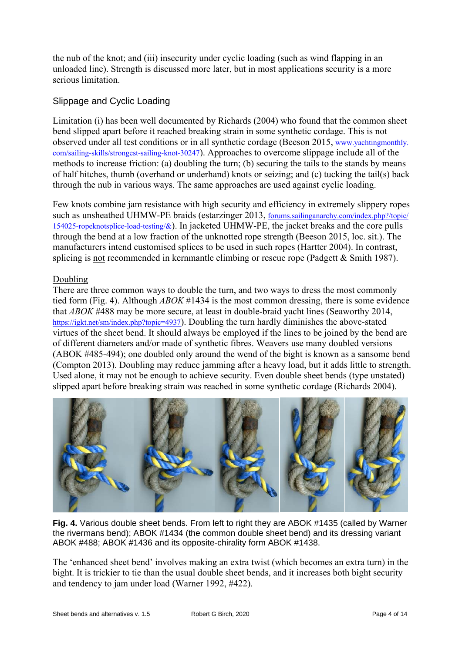the nub of the knot; and (iii) insecurity under cyclic loading (such as wind flapping in an unloaded line). Strength is discussed more later, but in most applications security is a more serious limitation.

# Slippage and Cyclic Loading

Limitation (i) has been well documented by Richards (2004) who found that the common sheet bend slipped apart before it reached breaking strain in some synthetic cordage. This is not observed under all test conditions or in all synthetic cordage (Beeson 2015, www.yachtingmonthly. com/sailing-skills/strongest-sailing-knot-30247). Approaches to overcome slippage include all of the methods to increase friction: (a) doubling the turn; (b) securing the tails to the stands by means of half hitches, thumb (overhand or underhand) knots or seizing; and (c) tucking the tail(s) back [through the nub in various ways. The sa](http://www.yachtingmonthly.com/sailing-skills/strongest-sailing-knot-30247)me approaches are used against cyc[lic loading.](http://www.yachtingmonthly.com/sailing-skills/strongest-sailing-knot-30247) 

Few knots combine jam resistance with high security and efficiency in extremely slippery ropes such as unsheathed UHMW-PE braids (estarzinger 2013, forums.sailinganarchy.com/index.php?/topic/ 154025-ropeknotsplice-load-testing/ $\&$ ). In jacketed UHMW-PE, the jacket breaks and the core pulls through the bend at a low fraction of the unknotted rope strength (Beeson 2015, loc. sit.). The manufacturers intend customised splices to be used in such ropes (Hartter 2004). In contrast, [splicing is not recommended in](http://forums.sailinganarchy.com/index.php?/topic/154025-ropeknotsplice-load-testing/&) kernmantle climbing or rescue rope (Padgett & Smith 1987).

## Doubling

There are three common ways to double the turn, and two ways to dress the most commonly tied form (Fig. 4). Although *ABOK* #1434 is the most common dressing, there is some evidence that *ABOK* #488 may be more secure, at least in double-braid yacht lines (Seaworthy 2014, https://igkt.net/sm/index.php?topic=4937). Doubling the turn hardly diminishes the above-stated virtues of the sheet bend. It should always be employed if the lines to be joined by the bend are of different diameters and/or made of synthetic fibres. Weavers use many doubled versions (ABOK #485-494); one doubled only around the wend of the bight is known as a sansome bend [\(Compton 2013\). Doubling may re](https://igkt.net/sm/index.php?topic=4937)duce jamming after a heavy load, but it adds little to strength. Used alone, it may not be enough to achieve security. Even double sheet bends (type unstated) slipped apart before breaking strain was reached in some synthetic cordage (Richards 2004).



**Fig. 4.** Various double sheet bends. From left to right they are ABOK #1435 (called by Warner the rivermans bend); ABOK #1434 (the common double sheet bend) and its dressing variant ABOK #488; ABOK #1436 and its opposite-chirality form ABOK #1438.

The 'enhanced sheet bend' involves making an extra twist (which becomes an extra turn) in the bight. It is trickier to tie than the usual double sheet bends, and it increases both bight security and tendency to jam under load (Warner 1992, #422).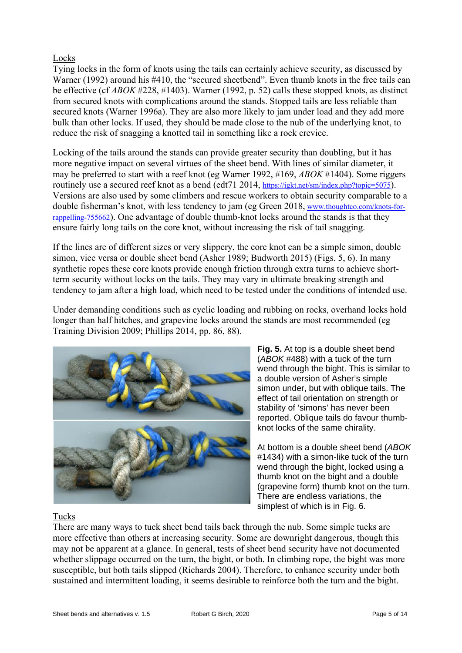#### Locks

Tying locks in the form of knots using the tails can certainly achieve security, as discussed by Warner (1992) around his #410, the "secured sheetbend". Even thumb knots in the free tails can be effective (cf *ABOK* #228, #1403). Warner (1992, p. 52) calls these stopped knots, as distinct from secured knots with complications around the stands. Stopped tails are less reliable than secured knots (Warner 1996a). They are also more likely to jam under load and they add more bulk than other locks. If used, they should be made close to the nub of the underlying knot, to reduce the risk of snagging a knotted tail in something like a rock crevice.

Locking of the tails around the stands can provide greater security than doubling, but it has more negative impact on several virtues of the sheet bend. With lines of similar diameter, it may be preferred to start with a reef knot (eg Warner 1992, #169, *ABOK* #1404). Some riggers routinely use a secured reef knot as a bend (edt71 2014, https://igkt.net/sm/index.php?topic=5075). Versions are also used by some climbers and rescue workers to obtain security comparable to a double fisherman's knot, with less tendency to jam (eg Green 2018, www.thoughtco.com/knots-forrappelling-755662). One advantage of double thumb-knot locks around the stands is that they ensure fairly long tails on the core knot, without increas[ing the risk of tail snagging.](https://igkt.net/sm/index.php?topic=5075) 

If the lines are of different sizes or very slippery, the core knot can [be a simple simon, double](http://www.thoughtco.com/knots-for-rappelling-755662)  [simon, vice vers](http://www.thoughtco.com/knots-for-rappelling-755662)a or double sheet bend (Asher 1989; Budworth 2015) (Figs. 5, 6). In many synthetic ropes these core knots provide enough friction through extra turns to achieve shortterm security without locks on the tails. They may vary in ultimate breaking strength and tendency to jam after a high load, which need to be tested under the conditions of intended use.

Under demanding conditions such as cyclic loading and rubbing on rocks, overhand locks hold longer than half hitches, and grapevine locks around the stands are most recommended (eg Training Division 2009; Phillips 2014, pp. 86, 88).



**Fig. 5.** At top is a double sheet bend (*ABOK* #488) with a tuck of the turn wend through the bight. This is similar to a double version of Asher's simple simon under, but with oblique tails. The effect of tail orientation on strength or stability of 'simons' has never been reported. Oblique tails do favour thumbknot locks of the same chirality.

At bottom is a double sheet bend (*ABOK* #1434) with a simon-like tuck of the turn wend through the bight, locked using a thumb knot on the bight and a double (grapevine form) thumb knot on the turn. There are endless variations, the simplest of which is in Fig. 6.

## Tucks

There are many ways to tuck sheet bend tails back through the nub. Some simple tucks are more effective than others at increasing security. Some are downright dangerous, though this may not be apparent at a glance. In general, tests of sheet bend security have not documented whether slippage occurred on the turn, the bight, or both. In climbing rope, the bight was more susceptible, but both tails slipped (Richards 2004). Therefore, to enhance security under both sustained and intermittent loading, it seems desirable to reinforce both the turn and the bight.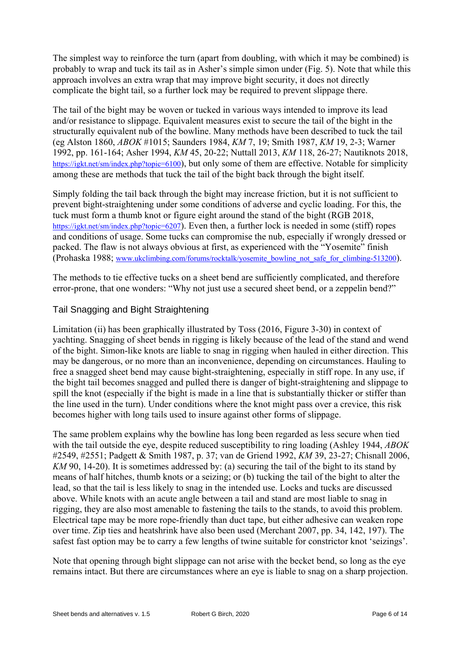The simplest way to reinforce the turn (apart from doubling, with which it may be combined) is probably to wrap and tuck its tail as in Asher's simple simon under (Fig. 5). Note that while this approach involves an extra wrap that may improve bight security, it does not directly complicate the bight tail, so a further lock may be required to prevent slippage there.

The tail of the bight may be woven or tucked in various ways intended to improve its lead and/or resistance to slippage. Equivalent measures exist to secure the tail of the bight in the structurally equivalent nub of the bowline. Many methods have been described to tuck the tail (eg Alston 1860, *ABOK* #1015; Saunders 1984, *KM* 7, 19; Smith 1987, *KM* 19, 2-3; Warner 1992, pp. 161-164; Asher 1994, *KM* 45, 20-22; Nuttall 2013, *KM* 118, 26-27; Nautiknots 2018, https://igkt.net/sm/index.php?topic=6100), but only some of them are effective. Notable for simplicity among these are methods that tuck the tail of the bight back through the bight itself.

Simply folding the tail back through the bight may increase friction, but it is not sufficient to [prevent bight-straightening under s](https://igkt.net/sm/index.php?topic=6100)ome conditions of adverse and cyclic loading. For this, the tuck must form a thumb knot or figure eight around the stand of the bight (RGB 2018, https://igkt.net/sm/index.php?topic=6207). Even then, a further lock is needed in some (stiff) ropes and conditions of usage. Some tucks can compromise the nub, especially if wrongly dressed or packed. The flaw is not always obvious at first, as experienced with the "Yosemite" finish [\(Prohaska 1988; www.ukclimbing.com](https://igkt.net/sm/index.php?topic=6207)/forums/rocktalk/yosemite\_bowline\_not\_safe\_for\_climbing-513200).

The methods to tie effective tucks on a sheet bend are sufficiently complicated, and therefore error-prone, that [one wonders: "Why not just use a secured sheet bend, or a zeppelin bend?"](http://www.ukclimbing.com/forums/rocktalk/yosemite_bowline_not_safe_for_climbing-513200) 

# Tail Snagging and Bight Straightening

Limitation (ii) has been graphically illustrated by Toss (2016, Figure 3-30) in context of yachting. Snagging of sheet bends in rigging is likely because of the lead of the stand and wend of the bight. Simon-like knots are liable to snag in rigging when hauled in either direction. This may be dangerous, or no more than an inconvenience, depending on circumstances. Hauling to free a snagged sheet bend may cause bight-straightening, especially in stiff rope. In any use, if the bight tail becomes snagged and pulled there is danger of bight-straightening and slippage to spill the knot (especially if the bight is made in a line that is substantially thicker or stiffer than the line used in the turn). Under conditions where the knot might pass over a crevice, this risk becomes higher with long tails used to insure against other forms of slippage.

The same problem explains why the bowline has long been regarded as less secure when tied with the tail outside the eye, despite reduced susceptibility to ring loading (Ashley 1944, *ABOK* #2549, #2551; Padgett & Smith 1987, p. 37; van de Griend 1992, *KM* 39, 23-27; Chisnall 2006, *KM* 90, 14-20). It is sometimes addressed by: (a) securing the tail of the bight to its stand by means of half hitches, thumb knots or a seizing; or (b) tucking the tail of the bight to alter the lead, so that the tail is less likely to snag in the intended use. Locks and tucks are discussed above. While knots with an acute angle between a tail and stand are most liable to snag in rigging, they are also most amenable to fastening the tails to the stands, to avoid this problem. Electrical tape may be more rope-friendly than duct tape, but either adhesive can weaken rope over time. Zip ties and heatshrink have also been used (Merchant 2007, pp. 34, 142, 197). The safest fast option may be to carry a few lengths of twine suitable for constrictor knot 'seizings'.

Note that opening through bight slippage can not arise with the becket bend, so long as the eye remains intact. But there are circumstances where an eye is liable to snag on a sharp projection.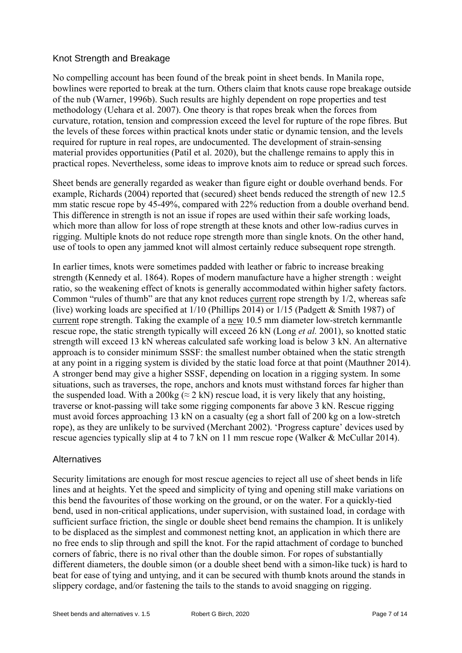## Knot Strength and Breakage

No compelling account has been found of the break point in sheet bends. In Manila rope, bowlines were reported to break at the turn. Others claim that knots cause rope breakage outside of the nub (Warner, 1996b). Such results are highly dependent on rope properties and test methodology (Uehara et al. 2007). One theory is that ropes break when the forces from curvature, rotation, tension and compression exceed the level for rupture of the rope fibres. But the levels of these forces within practical knots under static or dynamic tension, and the levels required for rupture in real ropes, are undocumented. The development of strain-sensing material provides opportunities (Patil et al. 2020), but the challenge remains to apply this in practical ropes. Nevertheless, some ideas to improve knots aim to reduce or spread such forces.

Sheet bends are generally regarded as weaker than figure eight or double overhand bends. For example, Richards (2004) reported that (secured) sheet bends reduced the strength of new 12.5 mm static rescue rope by 45-49%, compared with 22% reduction from a double overhand bend. This difference in strength is not an issue if ropes are used within their safe working loads, which more than allow for loss of rope strength at these knots and other low-radius curves in rigging. Multiple knots do not reduce rope strength more than single knots. On the other hand, use of tools to open any jammed knot will almost certainly reduce subsequent rope strength.

In earlier times, knots were sometimes padded with leather or fabric to increase breaking strength (Kennedy et al. 1864). Ropes of modern manufacture have a higher strength : weight ratio, so the weakening effect of knots is generally accommodated within higher safety factors. Common "rules of thumb" are that any knot reduces current rope strength by 1/2, whereas safe (live) working loads are specified at 1/10 (Phillips 2014) or 1/15 (Padgett & Smith 1987) of current rope strength. Taking the example of a new 10.5 mm diameter low-stretch kernmantle rescue rope, the static strength typically will exceed 26 kN (Long *et al.* 2001), so knotted static strength will exceed 13 kN whereas calculated safe working load is below 3 kN. An alternative approach is to consider minimum SSSF: the smallest number obtained when the static strength at any point in a rigging system is divided by the static load force at that point (Mauthner 2014). A stronger bend may give a higher SSSF, depending on location in a rigging system. In some situations, such as traverses, the rope, anchors and knots must withstand forces far higher than the suspended load. With a 200kg ( $\approx$  2 kN) rescue load, it is very likely that any hoisting, traverse or knot-passing will take some rigging components far above 3 kN. Rescue rigging must avoid forces approaching 13 kN on a casualty (eg a short fall of 200 kg on a low-stretch rope), as they are unlikely to be survived (Merchant 2002). 'Progress capture' devices used by rescue agencies typically slip at 4 to 7 kN on 11 mm rescue rope (Walker & McCullar 2014).

## **Alternatives**

Security limitations are enough for most rescue agencies to reject all use of sheet bends in life lines and at heights. Yet the speed and simplicity of tying and opening still make variations on this bend the favourites of those working on the ground, or on the water. For a quickly-tied bend, used in non-critical applications, under supervision, with sustained load, in cordage with sufficient surface friction, the single or double sheet bend remains the champion. It is unlikely to be displaced as the simplest and commonest netting knot, an application in which there are no free ends to slip through and spill the knot. For the rapid attachment of cordage to bunched corners of fabric, there is no rival other than the double simon. For ropes of substantially different diameters, the double simon (or a double sheet bend with a simon-like tuck) is hard to beat for ease of tying and untying, and it can be secured with thumb knots around the stands in slippery cordage, and/or fastening the tails to the stands to avoid snagging on rigging.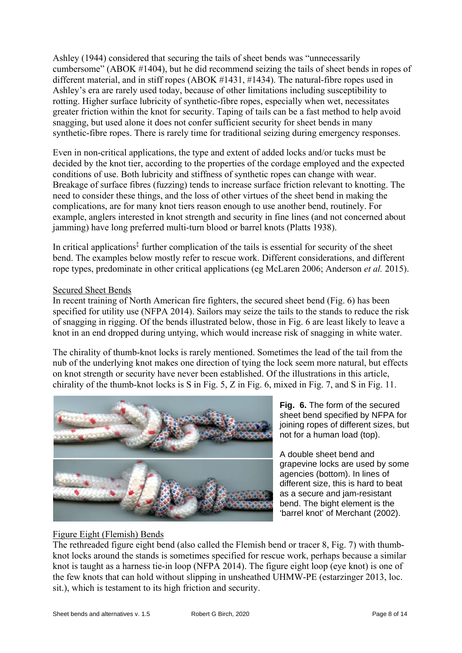Ashley (1944) considered that securing the tails of sheet bends was "unnecessarily cumbersome" (ABOK #1404), but he did recommend seizing the tails of sheet bends in ropes of different material, and in stiff ropes (ABOK #1431, #1434). The natural-fibre ropes used in Ashley's era are rarely used today, because of other limitations including susceptibility to rotting. Higher surface lubricity of synthetic-fibre ropes, especially when wet, necessitates greater friction within the knot for security. Taping of tails can be a fast method to help avoid snagging, but used alone it does not confer sufficient security for sheet bends in many synthetic-fibre ropes. There is rarely time for traditional seizing during emergency responses.

Even in non-critical applications, the type and extent of added locks and/or tucks must be decided by the knot tier, according to the properties of the cordage employed and the expected conditions of use. Both lubricity and stiffness of synthetic ropes can change with wear. Breakage of surface fibres (fuzzing) tends to increase surface friction relevant to knotting. The need to consider these things, and the loss of other virtues of the sheet bend in making the complications, are for many knot tiers reason enough to use another bend, routinely. For example, anglers interested in knot strength and security in fine lines (and not concerned about jamming) have long preferred multi-turn blood or barrel knots (Platts 1938).

In critical applications<sup> $\ddagger$ </sup> further complication of the tails is essential for security of the sheet bend. The examples below mostly refer to rescue work. Different considerations, and different rope types, predominate in other critical applications (eg McLaren 2006; Anderson *et al.* 2015).

#### Secured Sheet Bends

In recent training of North American fire fighters, the secured sheet bend (Fig. 6) has been specified for utility use (NFPA 2014). Sailors may seize the tails to the stands to reduce the risk of snagging in rigging. Of the bends illustrated below, those in Fig. 6 are least likely to leave a knot in an end dropped during untying, which would increase risk of snagging in white water.

The chirality of thumb-knot locks is rarely mentioned. Sometimes the lead of the tail from the nub of the underlying knot makes one direction of tying the lock seem more natural, but effects on knot strength or security have never been established. Of the illustrations in this article, chirality of the thumb-knot locks is S in Fig. 5, Z in Fig. 6, mixed in Fig. 7, and S in Fig. 11.



**Fig. 6.** The form of the secured sheet bend specified by NFPA for joining ropes of different sizes, but not for a human load (top).

A double sheet bend and grapevine locks are used by some agencies (bottom). In lines of different size, this is hard to beat as a secure and jam-resistant bend. The bight element is the 'barrel knot' of Merchant (2002).

# Figure Eight (Flemish) Bends

The rethreaded figure eight bend (also called the Flemish bend or tracer 8, Fig. 7) with thumbknot locks around the stands is sometimes specified for rescue work, perhaps because a similar knot is taught as a harness tie-in loop (NFPA 2014). The figure eight loop (eye knot) is one of the few knots that can hold without slipping in unsheathed UHMW-PE (estarzinger 2013, loc. sit.), which is testament to its high friction and security.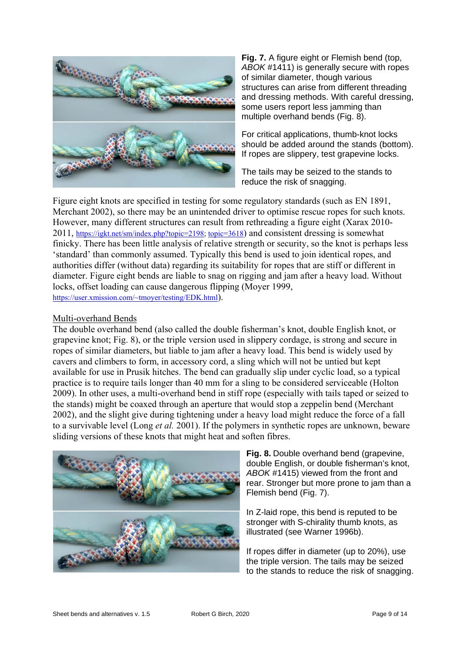

**Fig. 7.** A figure eight or Flemish bend (top, *ABOK* #1411) is generally secure with ropes of similar diameter, though various structures can arise from different threading and dressing methods. With careful dressing, some users report less jamming than multiple overhand bends (Fig. 8).

For critical applications, thumb-knot locks should be added around the stands (bottom). If ropes are slippery, test grapevine locks.

The tails may be seized to the stands to reduce the risk of snagging.

Figure eight knots are specified in testing for some regulatory standards (such as EN 1891, Merchant 2002), so there may be an unintended driver to optimise rescue ropes for such knots. However, many different structures can result from rethreading a figure eight (Xarax 2010- 2011, https://igkt.net/sm/index.php?topic=2198; topic=3618) and consistent dressing is somewhat finicky. There has been little analysis of relative strength or security, so the knot is perhaps less 'standard' than commonly assumed. Typically this bend is used to join identical ropes, and authorities differ (without data) regarding its suitability for ropes that are stiff or different in diame[ter. Figure eight bends are liable to](https://igkt.net/sm/index.php?topic=2198) [snag on ri](https://igkt.net/sm/index.php?topic=3618)gging and jam after a heavy load. Without locks, offset loading can cause dangerous flipping (Moyer 1999, https://user.xmission.com/~tmoyer/testing/EDK.html).

#### Multi-overhand Bends

The double overhand bend (also called the double fisherman's knot, double English knot, or [grapevine knot; Fig. 8\), or the triple version](https://user.xmission.com/~tmoyer/testing/EDK.html) used in slippery cordage, is strong and secure in ropes of similar diameters, but liable to jam after a heavy load. This bend is widely used by cavers and climbers to form, in accessory cord, a sling which will not be untied but kept available for use in Prusik hitches. The bend can gradually slip under cyclic load, so a typical practice is to require tails longer than 40 mm for a sling to be considered serviceable (Holton 2009). In other uses, a multi-overhand bend in stiff rope (especially with tails taped or seized to the stands) might be coaxed through an aperture that would stop a zeppelin bend (Merchant 2002), and the slight give during tightening under a heavy load might reduce the force of a fall to a survivable level (Long *et al.* 2001). If the polymers in synthetic ropes are unknown, beware sliding versions of these knots that might heat and soften fibres.



**Fig. 8.** Double overhand bend (grapevine, double English, or double fisherman's knot, *ABOK* #1415) viewed from the front and rear. Stronger but more prone to jam than a Flemish bend (Fig. 7).

In Z-laid rope, this bend is reputed to be stronger with S-chirality thumb knots, as illustrated (see Warner 1996b).

If ropes differ in diameter (up to 20%), use the triple version. The tails may be seized to the stands to reduce the risk of snagging.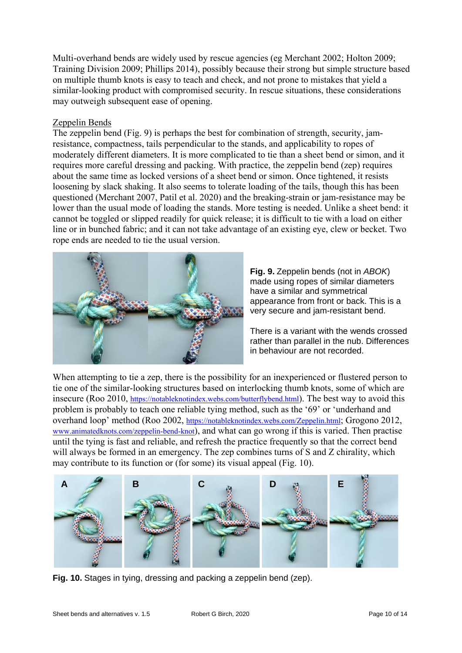Multi-overhand bends are widely used by rescue agencies (eg Merchant 2002; Holton 2009; Training Division 2009; Phillips 2014), possibly because their strong but simple structure based on multiple thumb knots is easy to teach and check, and not prone to mistakes that yield a similar-looking product with compromised security. In rescue situations, these considerations may outweigh subsequent ease of opening.

#### Zeppelin Bends

The zeppelin bend (Fig. 9) is perhaps the best for combination of strength, security, jamresistance, compactness, tails perpendicular to the stands, and applicability to ropes of moderately different diameters. It is more complicated to tie than a sheet bend or simon, and it requires more careful dressing and packing. With practice, the zeppelin bend (zep) requires about the same time as locked versions of a sheet bend or simon. Once tightened, it resists loosening by slack shaking. It also seems to tolerate loading of the tails, though this has been questioned (Merchant 2007, Patil et al. 2020) and the breaking-strain or jam-resistance may be lower than the usual mode of loading the stands. More testing is needed. Unlike a sheet bend: it cannot be toggled or slipped readily for quick release; it is difficult to tie with a load on either line or in bunched fabric; and it can not take advantage of an existing eye, clew or becket. Two rope ends are needed to tie the usual version.



**Fig. 9.** Zeppelin bends (not in *ABOK*) made using ropes of similar diameters have a similar and symmetrical appearance from front or back. This is a very secure and jam-resistant bend.

There is a variant with the wends crossed rather than parallel in the nub. Differences in behaviour are not recorded.

When attempting to tie a zep, there is the possibility for an inexperienced or flustered person to tie one of the similar-looking structures based on interlocking thumb knots, some of which are insecure (Roo 2010, https://notableknotindex.webs.com/butterflybend.html). The best way to avoid this problem is probably to teach one reliable tying method, such as the '69' or 'underhand and overhand loop' method (Roo 2002, https://notableknotindex.webs.com/Zeppelin.html; Grogono 2012, www.animatedknots.com/zeppelin-bend-knot), and what can go wrong if this is varied. Then practise until the tying is fast [and reliable, and refresh the practice frequent](https://notableknotindex.webs.com/butterflybend.html)ly so that the correct bend will always be formed in an emergency. The zep combines turns of S and Z chirality, which [may contribute to its function or \(fo](http://www.animatedknots.com/zeppelin-bend-knot)[r some\) its visual appeal \(Fig. 10\).](https://notableknotindex.webs.com/Zeppelin.html) 



**Fig. 10.** Stages in tying, dressing and packing a zeppelin bend (zep).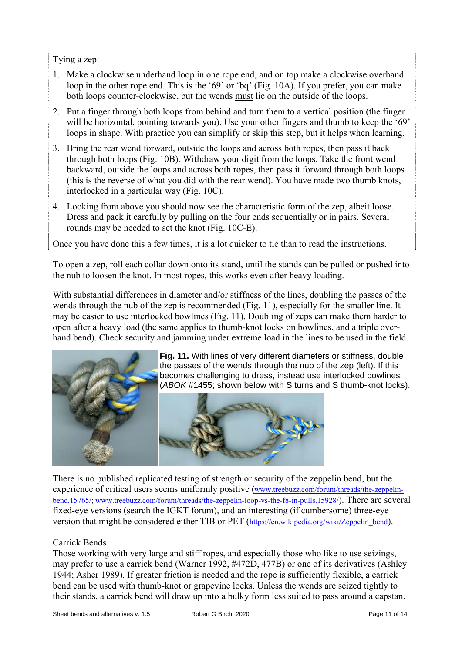Tying a zep:

- 1. Make a clockwise underhand loop in one rope end, and on top make a clockwise overhand loop in the other rope end. This is the '69' or 'bq' (Fig. 10A). If you prefer, you can make both loops counter-clockwise, but the wends must lie on the outside of the loops.
- 2. Put a finger through both loops from behind and turn them to a vertical position (the finger will be horizontal, pointing towards you). Use your other fingers and thumb to keep the '69' loops in shape. With practice you can simplify or skip this step, but it helps when learning.
- 3. Bring the rear wend forward, outside the loops and across both ropes, then pass it back through both loops (Fig. 10B). Withdraw your digit from the loops. Take the front wend backward, outside the loops and across both ropes, then pass it forward through both loops (this is the reverse of what you did with the rear wend). You have made two thumb knots, interlocked in a particular way (Fig. 10C).
- 4. Looking from above you should now see the characteristic form of the zep, albeit loose. Dress and pack it carefully by pulling on the four ends sequentially or in pairs. Several rounds may be needed to set the knot (Fig. 10C-E).

Once you have done this a few times, it is a lot quicker to tie than to read the instructions.

To open a zep, roll each collar down onto its stand, until the stands can be pulled or pushed into the nub to loosen the knot. In most ropes, this works even after heavy loading.

With substantial differences in diameter and/or stiffness of the lines, doubling the passes of the wends through the nub of the zep is recommended (Fig. 11), especially for the smaller line. It may be easier to use interlocked bowlines (Fig. 11). Doubling of zeps can make them harder to open after a heavy load (the same applies to thumb-knot locks on bowlines, and a triple overhand bend). Check security and jamming under extreme load in the lines to be used in the field.



**Fig. 11.** With lines of very different diameters or stiffness, double the passes of the wends through the nub of the zep (left). If this becomes challenging to dress, instead use interlocked bowlines (*ABOK* #1455; shown below with S turns and S thumb-knot locks).



There is no published replicated testing of strength or security of the zeppelin bend, but the experience of critical users seems uniformly positive (www.treebuzz.com/forum/threads/the-zeppelinbend.15765/; www.treebuzz.com/forum/threads/the-zeppelin-loop-vs-the-f8-in-pulls.15928/). There are several fixed-eye versions (search the IGKT forum), and an interesting (if cumbersome) three-eye version that might be considered either TIB or PET (https://en.wikipedia.org/wiki/Zeppelin bend).

## [Carrick Be](http://www.treebuzz.com/forum/threads/the-zeppelin-bend.15765/)[nds](http://www.treebuzz.com/forum/threads/the-zeppelin-loop-vs-the-f8-in-pulls.15928/)

Those working with very large and stiff ropes, and especially those who like to use seizings, may prefer to use a carrick bend (Warner 1992, #47[2D, 477B\) or one of its derivatives \(As](https://en.wikipedia.org/wiki/Zeppelin_bend)hley 1944; Asher 1989). If greater friction is needed and the rope is sufficiently flexible, a carrick bend can be used with thumb-knot or grapevine locks. Unless the wends are seized tightly to their stands, a carrick bend will draw up into a bulky form less suited to pass around a capstan.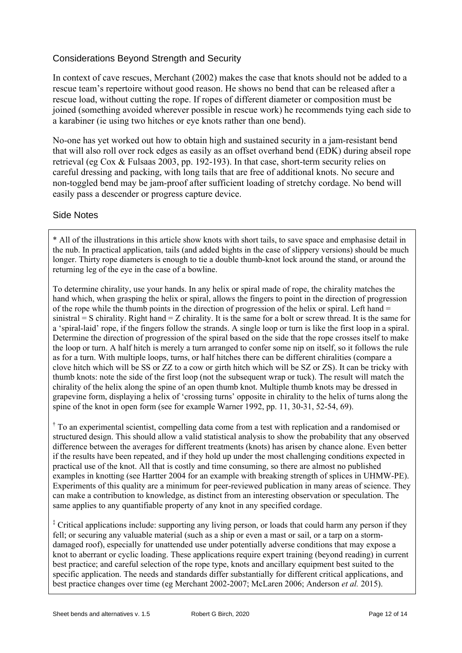# Considerations Beyond Strength and Security

In context of cave rescues, Merchant (2002) makes the case that knots should not be added to a rescue team's repertoire without good reason. He shows no bend that can be released after a rescue load, without cutting the rope. If ropes of different diameter or composition must be joined (something avoided wherever possible in rescue work) he recommends tying each side to a karabiner (ie using two hitches or eye knots rather than one bend).

No-one has yet worked out how to obtain high and sustained security in a jam-resistant bend that will also roll over rock edges as easily as an offset overhand bend (EDK) during abseil rope retrieval (eg Cox & Fulsaas 2003, pp. 192-193). In that case, short-term security relies on careful dressing and packing, with long tails that are free of additional knots. No secure and non-toggled bend may be jam-proof after sufficient loading of stretchy cordage. No bend will easily pass a descender or progress capture device.

#### Side Notes

\* All of the illustrations in this article show knots with short tails, to save space and emphasise detail in the nub. In practical application, tails (and added bights in the case of slippery versions) should be much longer. Thirty rope diameters is enough to tie a double thumb-knot lock around the stand, or around the returning leg of the eye in the case of a bowline.

To determine chirality, use your hands. In any helix or spiral made of rope, the chirality matches the hand which, when grasping the helix or spiral, allows the fingers to point in the direction of progression of the rope while the thumb points in the direction of progression of the helix or spiral. Left hand = sinistral  $=$  S chirality. Right hand  $=$  Z chirality. It is the same for a bolt or screw thread. It is the same for a 'spiral-laid' rope, if the fingers follow the strands. A single loop or turn is like the first loop in a spiral. Determine the direction of progression of the spiral based on the side that the rope crosses itself to make the loop or turn. A half hitch is merely a turn arranged to confer some nip on itself, so it follows the rule as for a turn. With multiple loops, turns, or half hitches there can be different chiralities (compare a clove hitch which will be SS or ZZ to a cow or girth hitch which will be SZ or ZS). It can be tricky with thumb knots: note the side of the first loop (not the subsequent wrap or tuck). The result will match the chirality of the helix along the spine of an open thumb knot. Multiple thumb knots may be dressed in grapevine form, displaying a helix of 'crossing turns' opposite in chirality to the helix of turns along the spine of the knot in open form (see for example Warner 1992, pp. 11, 30-31, 52-54, 69).

<sup>†</sup> To an experimental scientist, compelling data come from a test with replication and a randomised or structured design. This should allow a valid statistical analysis to show the probability that any observed difference between the averages for different treatments (knots) has arisen by chance alone. Even better if the results have been repeated, and if they hold up under the most challenging conditions expected in practical use of the knot. All that is costly and time consuming, so there are almost no published examples in knotting (see Hartter 2004 for an example with breaking strength of splices in UHMW-PE). Experiments of this quality are a minimum for peer-reviewed publication in many areas of science. They can make a contribution to knowledge, as distinct from an interesting observation or speculation. The same applies to any quantifiable property of any knot in any specified cordage.

<sup>‡</sup> Critical applications include: supporting any living person, or loads that could harm any person if they fell; or securing any valuable material (such as a ship or even a mast or sail, or a tarp on a stormdamaged roof), especially for unattended use under potentially adverse conditions that may expose a knot to aberrant or cyclic loading. These applications require expert training (beyond reading) in current best practice; and careful selection of the rope type, knots and ancillary equipment best suited to the specific application. The needs and standards differ substantially for different critical applications, and best practice changes over time (eg Merchant 2002-2007; McLaren 2006; Anderson *et al.* 2015).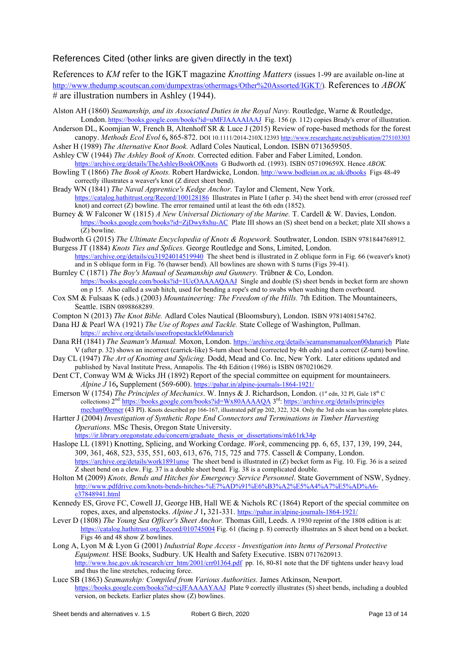#### References Cited (other links are given directly in the text)

References to *KM* refer to the IGKT magazine *Knotting Matters* (issues 1-99 are available on-line at http://www.thedump.scoutscan.com/dumpextras/othermags/Other%20Assorted/IGKT/)*.* References to *ABOK*  # are illustration numbers in Ashley (1944).

- Alston AH (1860) *Seamanship, and its Associated Duties in the Royal Navy.* Routledge, Warne & Routledge, London. https://books.google.com/books?id=uMFJAAAAIAAJ Fig. 156 (p. 112) copies Brady's error of illustration.
- [Anderson DL, Koomjian W, French B, Altenhoff SR & Luce J \(2015\) Review of rope-](http://www.thedump.scoutscan.com/dumpextras/othermags/Other Assorted/IGKT/)based methods for the forest canopy. *Methods Ecol Evol* 6**,** 865-872. DOI 10.1111/2014-210X.12393 http://www.researchgate.net/publication/275103303
- Asher H (1989) *The Alternative Knot Book.* Adlard Coles Nautical, London. ISBN 0713659505.
- Ashley CW (1944) *[The Ashley Book of Knots.](https://books.google.com/books?id=uMFJAAAAIAAJ)* Corrected edition. Faber and Faber Limited, London. https://archive.org/details/TheAshleyBookOfKnots G Budworth ed. (1993). ISBN 057109659X. Hence *ABOK.*
- Bowling T (1866) *The Book of Knots.* Robert Hardwicke, London. http://[www.bodleian.ox.ac.uk/dbooks Figs 48-49](http://www.researchgate.net/publication/275103303)  correctly illustrates a weaver's knot (Z direct sheet bend).
- Brady WN (1841) *The Naval Apprentice's Kedge Anchor.* Taylor and Clement, New York. https://catalog.hathitrust.org/Record/100128186 Illustrates in Plate I (after p. 34) the sheet bend with error (crossed reef [knot\) and correct \(Z\) bowline. The error remained u](https://archive.org/details/TheAshleyBookOfKnots)ntil at least the 6th edn (1852).
- Burney & W Falconer W (1815) *A New Universal Dictionary of the Marine.* [T. Cardell & W. Davies](http://www.bodleian.ox.ac.uk/dbooks), London. https://books.google.com/books?id=ZjDwy8xhu-AC Plate III shows an (S) sheet bend on a becket; plate XII shows a (Z) bowline.
- Budworth G (2015) *[The Ultimate Encyclopedia of](https://catalog.hathitrust.org/Record/100128186) Knots & Ropework.* Southwater, London. ISBN 9781844768912. Burgess JT (1884) *Knots Ties and Splices.* George Routledge and Sons, Limited, London.
- https://archive.org/details/cu31924014519940 The sheet bend is illustrated in Z oblique form in Fig. 66 (weaver's knot) a[nd in S oblique form in Fig. 76 \(hawser bend\). All bow](https://books.google.com/books?id=ZjDwy8xhu-AC)lines are shown with S turns (Figs 39-41).
- Burnley C (1871) *The Boy's Manual of Seamanship and Gunnery.* Trübner & Co, London. https://books.google.com/books?id=1UcOAAAAQAAJ Single and double (S) sheet bends in becket form are shown on p 15. Also called a swab hitch, used for bending a rope's end to swabs when washing them overboard.
- Cox S[M & Fulsaas K \(eds.\) \(2003\)](https://archive.org/details/cu31924014519940) *Mountaineering: The Freedom of the Hills.* 7th Edition. The Mountaineers, Seattle. ISBN 0898868289.
- Compton N (2013) *The Knot Bible.* Adlard Coles Nautical (Bloomsbury), London. ISBN 9781408154762.
- Dana HJ & Pearl WA (1921) *[The Use of Ropes and Tackle.](https://books.google.com/books?id=1UcOAAAAQAAJ)* State College of Washington, Pullman. https:// archive.org/details/useofropestackle00danarich
- Dana RH (1841) *The Seaman's Manual.* Moxon, London. https://archive.org/details/seamansmanualcon00danarich Plate V (after p. 32) shows an incorrect (carrick-like) S-turn sheet bend (corrected by 4th edn) and a correct (Z-turn) bowline.
- Day CL (1947) *The Art of Knotting and Splicing.* Dodd, Mead and Co. Inc, New York. Later editions updated and published by Naval Institute Press, Annapolis. The 4th Edition (1986) is ISBN 0870210629.
- Dent CT[, Conway WM & Wicks JH \(1892\) Report of the](https://archive.org/details/useofropestackle00danarich) special committee on equipment for mountaineers. *Alpine J* 16**,** Supplement (569-600). https://pahar.in/alpine-journals-1864-1921/
- Emerson W (1754) *The Principles of Mechanics*. W. Innys & J. Richardson, London. (1<sup>st</sup> edn, 32 Pl, Gale 18<sup>th</sup> C collections) 2<sup>nd:</sup> https://books.google.com/books?id=Wx80AAAAQA 3<sup>rd</sup>: https://archive.org/details/principles mechan00emer (43 Pl). Knots described pp 166-167, illustrated pdf pp 202, 322, 324. Only the 3rd edn scan has complete plates.
- Hartter J (2004) *Investigation of Synthetic Ro[pe End Connectors and Terminations in](https://pahar.in/alpine-journals-1864-1921/) Timber Harvesting Operations.* MSc Thesis, Oregon State University. https://ir.library.oregonstate.edu/concern/graduate\_thesis\_or\_dissertations/mk61rk34p
- Haslope [LL \(1891\) Kn](https://archive.org/details/principlesmechan00emer)[otting, Splicing, and Working Cordage.](https://books.google.com/books?id=Wx80AAAAQA) *Work*, com[mencing pp. 6, 65, 137, 139, 199,](https://archive.org/details/principlesmechan00emer) 244, 309, 361, 468, 523, 535, 551, 603, 613, 676, 715, 725 and 775. Cassell & Company, London. https://archive.org/details/work1891unse The sheet bend is illustrated in (Z) becket form as Fig. 10. Fig. 36 is a seized [Z sheet bend on a clew. Fig. 37 is a double sheet bend. Fig. 38 is a complicated double](https://ir.library.oregonstate.edu/concern/graduate_thesis_or_dissertations/mk61rk34p).
- Holton M (2009) *Knots, Bends and Hitches for Emergency Service Personnel*. State Government of NSW, Sydney. http://www.pdfdrive.com/knots-bends-hitches-%E7%AD%91%E6%B3%A2%E5%A4%A7%E5%AD%A6 e37848941.html
- Kenne[dy ES, Grove FC, Cowell JJ, George](https://archive.org/details/work1891unse) HB, Hall WE & Nichols RC (1864) Report of the special commitee on ropes, axes, and alpenstocks. *Alpine J* 1**,** 321-331. https://pahar.in/alpine-journals-1864-1921/
- Lever D (1808) *The Young Sea Officer's Sheet Anchor.* Thomas Gill, Leeds. A 1930 reprint of the 1808 edition is at: [https://catalog.hathitrust.org/Record/010745004 Fig. 61 \(facing p. 8\) correctly illustrates an S sheet bend o](http://www.pdfdrive.com/knots-bends-hitches-%E7%AD%91%E6%B3%A2%E5%A4%A7%E5%AD%A6-e37848941.html)n a becket. Figs 46 and 48 show Z bowlines.
- Long A, Lyon M & Lyon G (2001) *Industrial Rope Access Investigation into Items of Personal Protective Equipment.* HSE Books, Sudbury. UK Health and S[afety Executive. ISBN 0717620913.](https://pahar.in/alpine-journals-1864-1921/)  http://www.hse.gov.uk/research/crr\_htm/2001/crr01364.pdf pp. 16, 80-81 note that the DF tightens under heavy load a[nd thus the line stretches, reducing force.](https://catalog.hathitrust.org/Record/010745004)
- Luce SB (1863) *Seamanship: Compiled from Various Authorities.* James Atkinson, Newport. https://books.google.com/books?id=cjJFAAAAYAAJ Plate 9 correctly illustrates (S) sheet bends, including a doubled [version, on beckets. Earlier plates show \(Z\) bowlines.](http://www.hse.gov.uk/research/crr_htm/2001/crr01364.pdf)